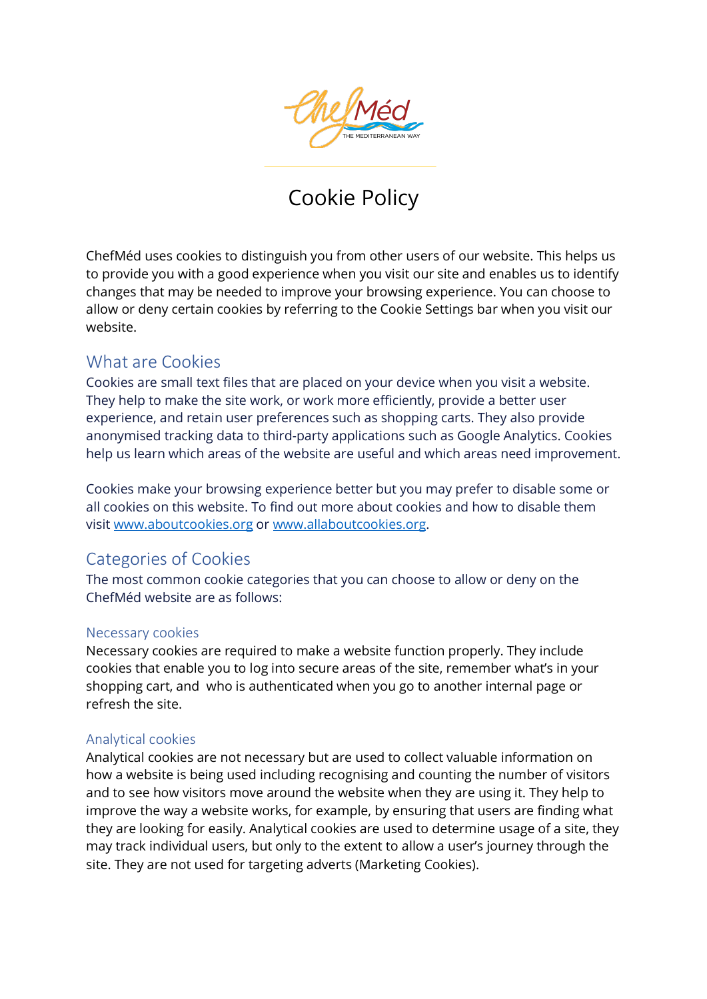

# Cookie Policy

ChefMéd uses cookies to distinguish you from other users of our website. This helps us to provide you with a good experience when you visit our site and enables us to identify changes that may be needed to improve your browsing experience. You can choose to allow or deny certain cookies by referring to the Cookie Settings bar when you visit our website.

### What are Cookies

Cookies are small text files that are placed on your device when you visit a website. They help to make the site work, or work more efficiently, provide a better user experience, and retain user preferences such as shopping carts. They also provide anonymised tracking data to third-party applications such as Google Analytics. Cookies help us learn which areas of the website are useful and which areas need improvement.

Cookies make your browsing experience better but you may prefer to disable some or all cookies on this website. To find out more about cookies and how to disable them visit www.aboutcookies.org or www.allaboutcookies.org.

# Categories of Cookies

The most common cookie categories that you can choose to allow or deny on the ChefMéd website are as follows:

#### Necessary cookies

Necessary cookies are required to make a website function properly. They include cookies that enable you to log into secure areas of the site, remember what's in your shopping cart, and who is authenticated when you go to another internal page or refresh the site.

#### Analytical cookies

Analytical cookies are not necessary but are used to collect valuable information on how a website is being used including recognising and counting the number of visitors and to see how visitors move around the website when they are using it. They help to improve the way a website works, for example, by ensuring that users are finding what they are looking for easily. Analytical cookies are used to determine usage of a site, they may track individual users, but only to the extent to allow a user's journey through the site. They are not used for targeting adverts (Marketing Cookies).